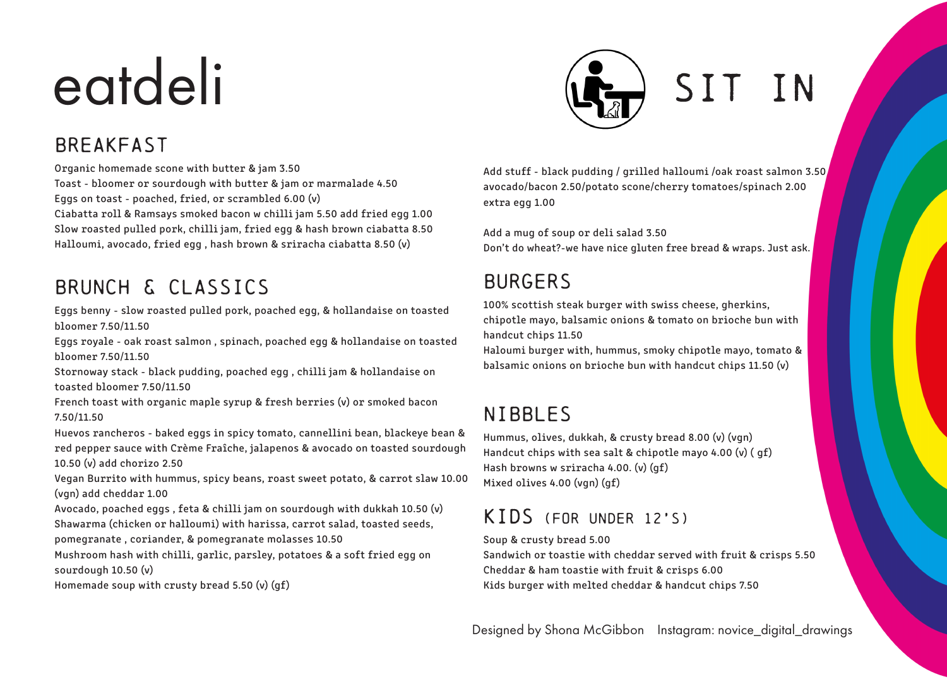# eatdeli (A) SIT IN

# Breakfast

Organic homemade scone with butter & jam 3.50 Toast - bloomer or sourdough with butter & jam or marmalade 4.50 Eggs on toast - poached, fried, or scrambled 6.00 (v) Ciabatta roll & Ramsays smoked bacon w chilli jam 5.50 add fried egg 1.00 Slow roasted pulled pork, chilli jam, fried egg & hash brown ciabatta 8.50 Halloumi, avocado, fried egg , hash brown & sriracha ciabatta 8.50 (v)

# Brunch & classics

Eggs benny - slow roasted pulled pork, poached egg, & hollandaise on toasted bloomer 7.50/11.50

Eggs royale - oak roast salmon , spinach, poached egg & hollandaise on toasted bloomer 7.50/11.50

Stornoway stack - black pudding, poached egg , chilli jam & hollandaise on toasted bloomer 7.50/11.50

French toast with organic maple syrup & fresh berries (v) or smoked bacon 7.50/11.50

Huevos rancheros - baked eggs in spicy tomato, cannellini bean, blackeye bean & red pepper sauce with Crème Fraîche, jalapenos & avocado on toasted sourdough 10.50 (v) add chorizo 2.50

Vegan Burrito with hummus, spicy beans, roast sweet potato, & carrot slaw 10.00 (vgn) add cheddar 1.00

Avocado, poached eggs , feta & chilli jam on sourdough with dukkah 10.50 (v) Shawarma (chicken or halloumi) with harissa, carrot salad, toasted seeds,

pomegranate , coriander, & pomegranate molasses 10.50

Mushroom hash with chilli, garlic, parsley, potatoes & a soft fried egg on sourdough 10.50 (v)

Homemade soup with crusty bread 5.50 (v) (gf)

Add stuff - black pudding / grilled halloumi /oak roast salmon 3.50 avocado/bacon 2.50/potato scone/cherry tomatoes/spinach 2.00 extra egg 1.00

Add a mug of soup or deli salad 3.50 Don't do wheat?-we have nice gluten free bread & wraps. Just ask.

# **BURGERS**

100% scottish steak burger with swiss cheese, gherkins, chipotle mayo, balsamic onions & tomato on brioche bun with handcut chips 11.50

Haloumi burger with, hummus, smoky chipotle mayo, tomato & balsamic onions on brioche bun with handcut chips 11.50 (v)

# Nibbles

Hummus, olives, dukkah, & crusty bread 8.00 (v) (vgn) Handcut chips with sea salt & chipotle mayo 4.00 (v) ( gf) Hash browns w sriracha 4.00. (v) (gf) Mixed olives 4.00 (vgn) (gf)

# Kids (for under 12's)

Soup & crusty bread 5.00

Sandwich or toastie with cheddar served with fruit & crisps 5.50 Cheddar & ham toastie with fruit & crisps 6.00 Kids burger with melted cheddar & handcut chips 7.50